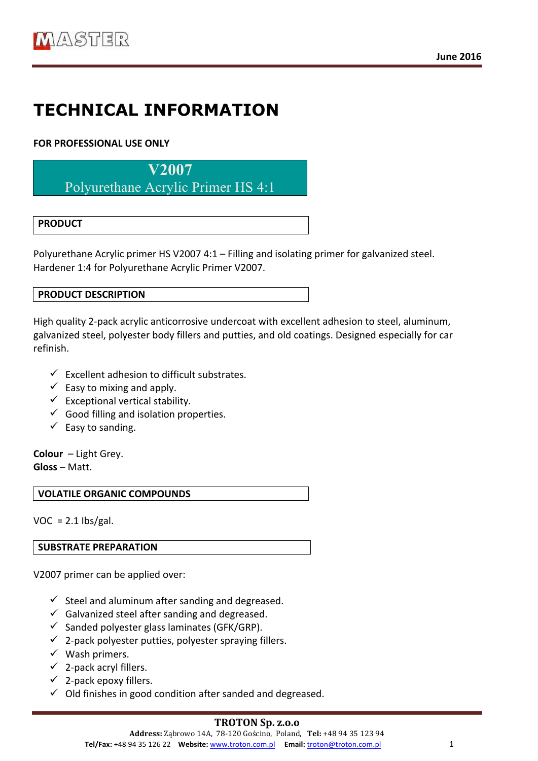# **TECHNICAL INFORMATION**

# **FOR PROFESSIONAL USE ONLY**

**V2007**

Polyurethane Acrylic Primer HS 4:1

# **PRODUCT**

Polyurethane Acrylic primer HS V2007 4:1 – Filling and isolating primer for galvanized steel. Hardener 1:4 for Polyurethane Acrylic Primer V2007.

### **PRODUCT DESCRIPTION**

High quality 2-pack acrylic anticorrosive undercoat with excellent adhesion to steel, aluminum, galvanized steel, polyester body fillers and putties, and old coatings. Designed especially for car refinish. 

- $\checkmark$  Excellent adhesion to difficult substrates.
- $\checkmark$  Easy to mixing and apply.
- $\checkmark$  Exceptional vertical stability.
- $\checkmark$  Good filling and isolation properties.
- $\checkmark$  Easy to sanding.

**Colour** – Light Grey. **Gloss** – Matt. 

**VOLATILE ORGANIC COMPOUNDS** 

 $VOC = 2.1$  lbs/gal.

### **SUBSTRATE PREPARATION**

V2007 primer can be applied over:

- $\checkmark$  Steel and aluminum after sanding and degreased.
- $\checkmark$  Galvanized steel after sanding and degreased.
- $\checkmark$  Sanded polyester glass laminates (GFK/GRP).
- $\checkmark$  2-pack polyester putties, polyester spraying fillers.
- $\checkmark$  Wash primers.
- $\checkmark$  2-pack acryl fillers.
- $\checkmark$  2-pack epoxy fillers.
- $\checkmark$  Old finishes in good condition after sanded and degreased.

### **TROTON Sp. z.o.o**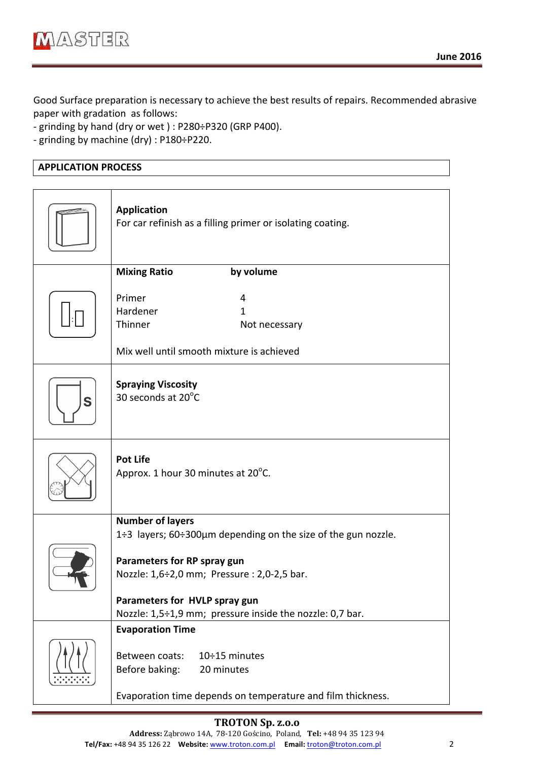Good Surface preparation is necessary to achieve the best results of repairs. Recommended abrasive paper with gradation as follows:

- grinding by hand (dry or wet): P280÷P320 (GRP P400).

- grinding by machine (dry) : P180÷P220.

## **APPLICATION PROCESS**

|   | <b>Application</b><br>For car refinish as a filling primer or isolating coating.                                                                                                                                                         |
|---|------------------------------------------------------------------------------------------------------------------------------------------------------------------------------------------------------------------------------------------|
|   | <b>Mixing Ratio</b><br>by volume                                                                                                                                                                                                         |
|   | Primer<br>4<br>Hardener<br>$\mathbf{1}$<br>Thinner<br>Not necessary                                                                                                                                                                      |
|   | Mix well until smooth mixture is achieved                                                                                                                                                                                                |
| S | <b>Spraying Viscosity</b><br>30 seconds at 20°C                                                                                                                                                                                          |
|   | <b>Pot Life</b><br>Approx. 1 hour 30 minutes at 20°C.                                                                                                                                                                                    |
|   | <b>Number of layers</b>                                                                                                                                                                                                                  |
|   | 1÷3 layers; 60÷300µm depending on the size of the gun nozzle.<br>Parameters for RP spray gun<br>Nozzle: 1,6÷2,0 mm; Pressure : 2,0-2,5 bar.<br>Parameters for HVLP spray gun<br>Nozzle: 1,5÷1,9 mm; pressure inside the nozzle: 0,7 bar. |
|   | <b>Evaporation Time</b>                                                                                                                                                                                                                  |
|   | Between coats:<br>$10 \div 15$ minutes<br>Before baking:<br>20 minutes                                                                                                                                                                   |
|   | Evaporation time depends on temperature and film thickness.                                                                                                                                                                              |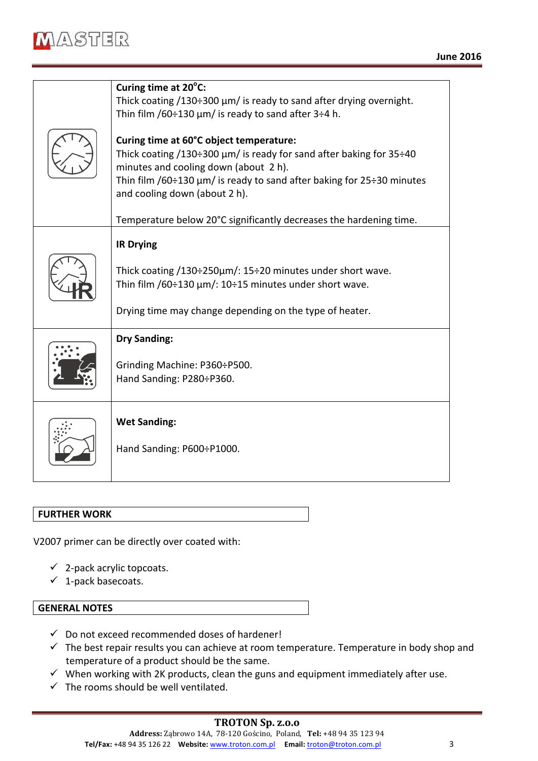

| Curing time at 20°C:                                                                                                                                                                                                                                                                                                                                          |
|---------------------------------------------------------------------------------------------------------------------------------------------------------------------------------------------------------------------------------------------------------------------------------------------------------------------------------------------------------------|
| Thick coating $/130\div 300 \mu m$ is ready to sand after drying overnight.                                                                                                                                                                                                                                                                                   |
| Thin film /60÷130 $\mu$ m/ is ready to sand after 3÷4 h.                                                                                                                                                                                                                                                                                                      |
| Curing time at 60°C object temperature:<br>Thick coating /130÷300 $\mu$ m/ is ready for sand after baking for 35÷40<br>minutes and cooling down (about 2 h).<br>Thin film $/60 \div 130 \mu m/$ is ready to sand after baking for 25 $\div 30$ minutes<br>and cooling down (about 2 h).<br>Temperature below 20°C significantly decreases the hardening time. |
|                                                                                                                                                                                                                                                                                                                                                               |
| <b>IR Drying</b>                                                                                                                                                                                                                                                                                                                                              |
| Thick coating $/130\div 250\mu m$ : 15 $\div 20$ minutes under short wave.                                                                                                                                                                                                                                                                                    |
| Thin film /60÷130 $\mu$ m/: 10÷15 minutes under short wave.                                                                                                                                                                                                                                                                                                   |
|                                                                                                                                                                                                                                                                                                                                                               |
| Drying time may change depending on the type of heater.                                                                                                                                                                                                                                                                                                       |
| <b>Dry Sanding:</b>                                                                                                                                                                                                                                                                                                                                           |
| Grinding Machine: P360÷P500.                                                                                                                                                                                                                                                                                                                                  |
| Hand Sanding: P280÷P360.                                                                                                                                                                                                                                                                                                                                      |
|                                                                                                                                                                                                                                                                                                                                                               |
|                                                                                                                                                                                                                                                                                                                                                               |
| <b>Wet Sanding:</b>                                                                                                                                                                                                                                                                                                                                           |
| Hand Sanding: P600÷P1000.                                                                                                                                                                                                                                                                                                                                     |
|                                                                                                                                                                                                                                                                                                                                                               |
|                                                                                                                                                                                                                                                                                                                                                               |

#### **FURTHER WORK**

V2007 primer can be directly over coated with:

- $\checkmark$  2-pack acrylic topcoats.
- $\checkmark$  1-pack basecoats.

#### **GENERAL NOTES**

- $\checkmark$  Do not exceed recommended doses of hardener!
- $\checkmark$  The best repair results you can achieve at room temperature. Temperature in body shop and temperature of a product should be the same.
- $\checkmark$  When working with 2K products, clean the guns and equipment immediately after use.
- $\checkmark$  The rooms should be well ventilated.